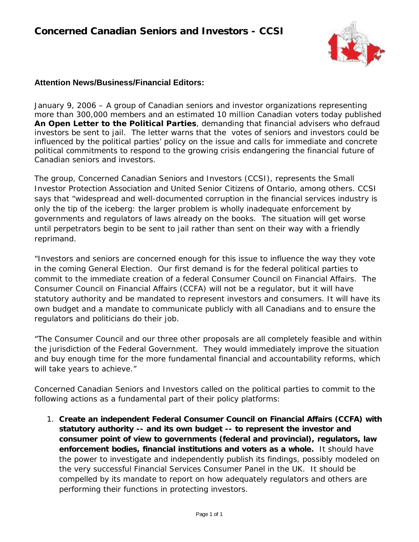

## **Attention News/Business/Financial Editors:**

January 9, 2006 – A group of Canadian seniors and investor organizations representing more than 300,000 members and an estimated 10 million Canadian voters today published *An Open Letter to the Political Parties*, demanding that financial advisers who defraud investors be sent to jail. The letter warns that the votes of seniors and investors could be influenced by the political parties' policy on the issue and calls for immediate and concrete political commitments to respond to the growing crisis endangering the financial future of Canadian seniors and investors.

The group, Concerned Canadian Seniors and Investors (CCSI), represents the Small Investor Protection Association and United Senior Citizens of Ontario, among others. CCSI says that "widespread and well-documented corruption in the financial services industry is only the tip of the iceberg: the larger problem is wholly inadequate enforcement by governments and regulators of laws already on the books. The situation will get worse until perpetrators begin to be sent to jail rather than sent on their way with a friendly reprimand.

"Investors and seniors are concerned enough for this issue to influence the way they vote in the coming General Election. Our first demand is for the federal political parties to commit to the immediate creation of a federal Consumer Council on Financial Affairs. The Consumer Council on Financial Affairs (CCFA) will not be a regulator, but it will have statutory authority and be mandated to represent investors and consumers. It will have its own budget and a mandate to communicate publicly with all Canadians and to ensure the regulators and politicians do their job.

"The Consumer Council and our three other proposals are all completely feasible and within the jurisdiction of the Federal Government. They would immediately improve the situation and buy enough time for the more fundamental financial and accountability reforms, which will take years to achieve."

Concerned Canadian Seniors and Investors called on the political parties to commit to the following actions as a fundamental part of their policy platforms:

1. *Create an independent Federal Consumer Council on Financial Affairs (CCFA) with statutory authority -- and its own budget -- to represent the investor and consumer point of view to governments (federal and provincial), regulators, law enforcement bodies, financial institutions and voters as a whole.* It should have the power to investigate and independently publish its findings, possibly modeled on the very successful Financial Services Consumer Panel in the UK. It should be compelled by its mandate to report on how adequately regulators and others are performing their functions in protecting investors.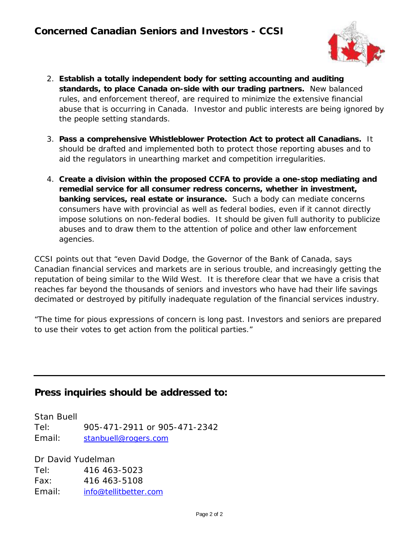

- 2. *Establish a totally independent body for setting accounting and auditing standards, to place Canada on-side with our trading partners.* New balanced rules, and enforcement thereof, are required to minimize the extensive financial abuse that is occurring in Canada. Investor and public interests are being ignored by the people setting standards.
- 3. *Pass a comprehensive Whistleblower Protection Act to protect all Canadians.* It should be drafted and implemented both to protect those reporting abuses and to aid the regulators in unearthing market and competition irregularities.
- 4. *Create a division within the proposed CCFA to provide a one-stop mediating and remedial service for all consumer redress concerns, whether in investment, banking services, real estate or insurance.* Such a body can mediate concerns consumers have with provincial as well as federal bodies, even if it cannot directly impose solutions on non-federal bodies. It should be given full authority to publicize abuses and to draw them to the attention of police and other law enforcement agencies.

CCSI points out that "even David Dodge, the Governor of the Bank of Canada, says Canadian financial services and markets are in serious trouble, and increasingly getting the reputation of being similar to the Wild West. It is therefore clear that we have a crisis that reaches far beyond the thousands of seniors and investors who have had their life savings decimated or destroyed by pitifully inadequate regulation of the financial services industry.

"The time for pious expressions of concern is long past. Investors and seniors are prepared to use their votes to get action from the political parties."

## **Press inquiries should be addressed to:**

Stan Buell Tel: 905-471-2911 or 905-471-2342 Email: *stanbuell@rogers.com*

Dr David Yudelman Tel: 416 463-5023 Fax: 416 463-5108 Email: *info@tellitbetter.com*